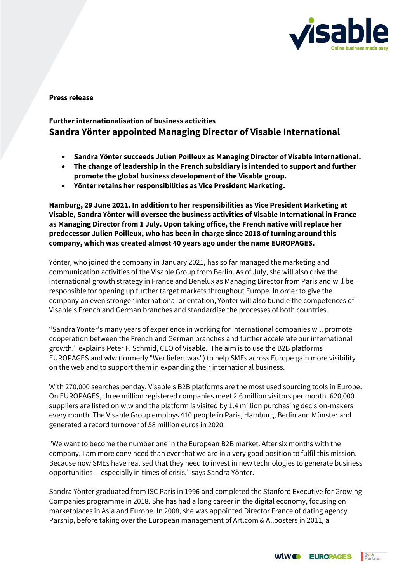

**Press release**

## **Further internationalisation of business activities Sandra Yönter appointed Managing Director of Visable International**

- **Sandra Yönter succeeds Julien Poilleux as Managing Director of Visable International.**
- **The change of leadership in the French subsidiary is intended to support and further promote the global business development of the Visable group.**
- **Yönter retains her responsibilities as Vice President Marketing.**

**Hamburg, 29 June 2021. In addition to her responsibilities as Vice President Marketing at Visable, Sandra Yönter will oversee the business activities of Visable International in France as Managing Director from 1 July. Upon taking office, the French native will replace her predecessor Julien Poilleux, who has been in charge since 2018 of turning around this company, which was created almost 40 years ago under the name EUROPAGES.**

Yönter, who joined the company in January 2021, has so far managed the marketing and communication activities of the Visable Group from Berlin. As of July, she will also drive the international growth strategy in France and Benelux as Managing Director from Paris and will be responsible for opening up further target markets throughout Europe. In order to give the company an even stronger international orientation, Yönter will also bundle the competences of Visable's French and German branches and standardise the processes of both countries.

"Sandra Yönter's many years of experience in working for international companies will promote cooperation between the French and German branches and further accelerate our international growth," explains Peter F. Schmid, CEO of Visable. The aim is to use the B2B platforms EUROPAGES and wlw (formerly "Wer liefert was") to help SMEs across Europe gain more visibility on the web and to support them in expanding their international business.

With 270,000 searches per day, Visable's B2B platforms are the most used sourcing tools in Europe. On EUROPAGES, three million registered companies meet 2.6 million visitors per month. 620,000 suppliers are listed on wlw and the platform is visited by 1.4 million purchasing decision-makers every month. The Visable Group employs 410 people in Paris, Hamburg, Berlin and Münster and generated a record turnover of 58 million euros in 2020.

"We want to become the number one in the European B2B market. After six months with the company, I am more convinced than ever that we are in a very good position to fulfil this mission. Because now SMEs have realised that they need to invest in new technologies to generate business opportunities – especially in times of crisis," says Sandra Yönter.

Sandra Yönter graduated from ISC Paris in 1996 and completed the Stanford Executive for Growing Companies programme in 2018. She has had a long career in the digital economy, focusing on marketplaces in Asia and Europe. In 2008, she was appointed Director France of dating agency Parship, before taking over the European management of Art.com & Allposters in 2011, a